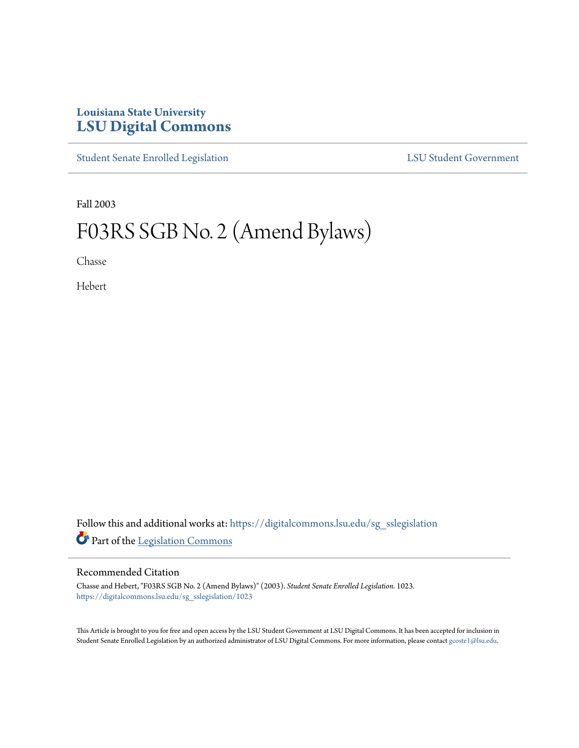## **Louisiana State University [LSU Digital Commons](https://digitalcommons.lsu.edu?utm_source=digitalcommons.lsu.edu%2Fsg_sslegislation%2F1023&utm_medium=PDF&utm_campaign=PDFCoverPages)**

[Student Senate Enrolled Legislation](https://digitalcommons.lsu.edu/sg_sslegislation?utm_source=digitalcommons.lsu.edu%2Fsg_sslegislation%2F1023&utm_medium=PDF&utm_campaign=PDFCoverPages) [LSU Student Government](https://digitalcommons.lsu.edu/sg?utm_source=digitalcommons.lsu.edu%2Fsg_sslegislation%2F1023&utm_medium=PDF&utm_campaign=PDFCoverPages)

Fall 2003

# F03RS SGB No. 2 (Amend Bylaws)

Chasse

Hebert

Follow this and additional works at: [https://digitalcommons.lsu.edu/sg\\_sslegislation](https://digitalcommons.lsu.edu/sg_sslegislation?utm_source=digitalcommons.lsu.edu%2Fsg_sslegislation%2F1023&utm_medium=PDF&utm_campaign=PDFCoverPages) Part of the [Legislation Commons](http://network.bepress.com/hgg/discipline/859?utm_source=digitalcommons.lsu.edu%2Fsg_sslegislation%2F1023&utm_medium=PDF&utm_campaign=PDFCoverPages)

#### Recommended Citation

Chasse and Hebert, "F03RS SGB No. 2 (Amend Bylaws)" (2003). *Student Senate Enrolled Legislation*. 1023. [https://digitalcommons.lsu.edu/sg\\_sslegislation/1023](https://digitalcommons.lsu.edu/sg_sslegislation/1023?utm_source=digitalcommons.lsu.edu%2Fsg_sslegislation%2F1023&utm_medium=PDF&utm_campaign=PDFCoverPages)

This Article is brought to you for free and open access by the LSU Student Government at LSU Digital Commons. It has been accepted for inclusion in Student Senate Enrolled Legislation by an authorized administrator of LSU Digital Commons. For more information, please contact [gcoste1@lsu.edu.](mailto:gcoste1@lsu.edu)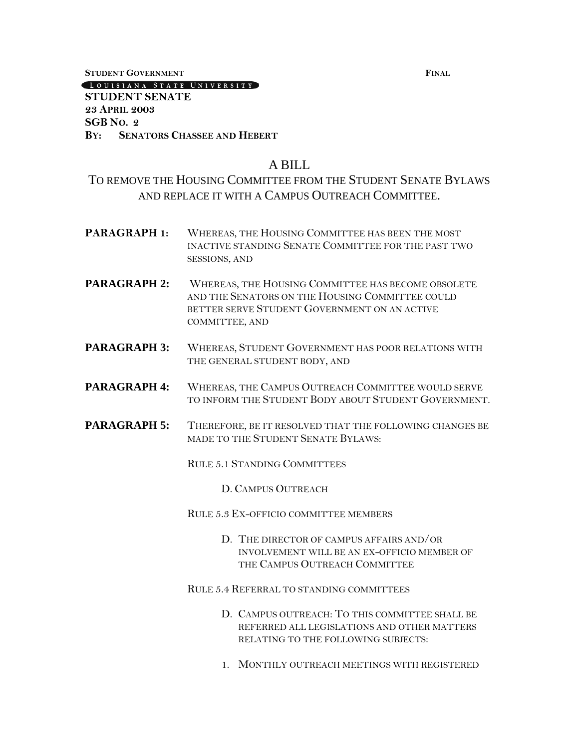**STUDENT GOVERNMENT FINAL**

LOUISIANA STATE UNIVERSITY

#### **STUDENT SENATE 23 APRIL 2003 SGB NO. 2 BY: SENATORS CHASSEE AND HEBERT**

### A BILL

## TO REMOVE THE HOUSING COMMITTEE FROM THE STUDENT SENATE BYLAWS AND REPLACE IT WITH A CAMPUS OUTREACH COMMITTEE.

- **PARAGRAPH 1:** WHEREAS, THE HOUSING COMMITTEE HAS BEEN THE MOST INACTIVE STANDING SENATE COMMITTEE FOR THE PAST TWO SESSIONS, AND
- **PARAGRAPH 2:** WHEREAS, THE HOUSING COMMITTEE HAS BECOME OBSOLETE AND THE SENATORS ON THE HOUSING COMMITTEE COULD BETTER SERVE STUDENT GOVERNMENT ON AN ACTIVE COMMITTEE, AND
- PARAGRAPH 3: WHEREAS, STUDENT GOVERNMENT HAS POOR RELATIONS WITH THE GENERAL STUDENT BODY, AND
- **PARAGRAPH 4:** WHEREAS, THE CAMPUS OUTREACH COMMITTEE WOULD SERVE TO INFORM THE STUDENT BODY ABOUT STUDENT GOVERNMENT.
- **PARAGRAPH 5:** THEREFORE, BE IT RESOLVED THAT THE FOLLOWING CHANGES BE MADE TO THE STUDENT SENATE BYLAWS:

RULE 5.1 STANDING COMMITTEES

D. CAMPUS OUTREACH

RULE 5.3 EX-OFFICIO COMMITTEE MEMBERS

D. THE DIRECTOR OF CAMPUS AFFAIRS AND/OR INVOLVEMENT WILL BE AN EX-OFFICIO MEMBER OF THE CAMPUS OUTREACH COMMITTEE

RULE 5.4 REFERRAL TO STANDING COMMITTEES

- D. CAMPUS OUTREACH: TO THIS COMMITTEE SHALL BE REFERRED ALL LEGISLATIONS AND OTHER MATTERS RELATING TO THE FOLLOWING SUBJECTS:
- 1. MONTHLY OUTREACH MEETINGS WITH REGISTERED